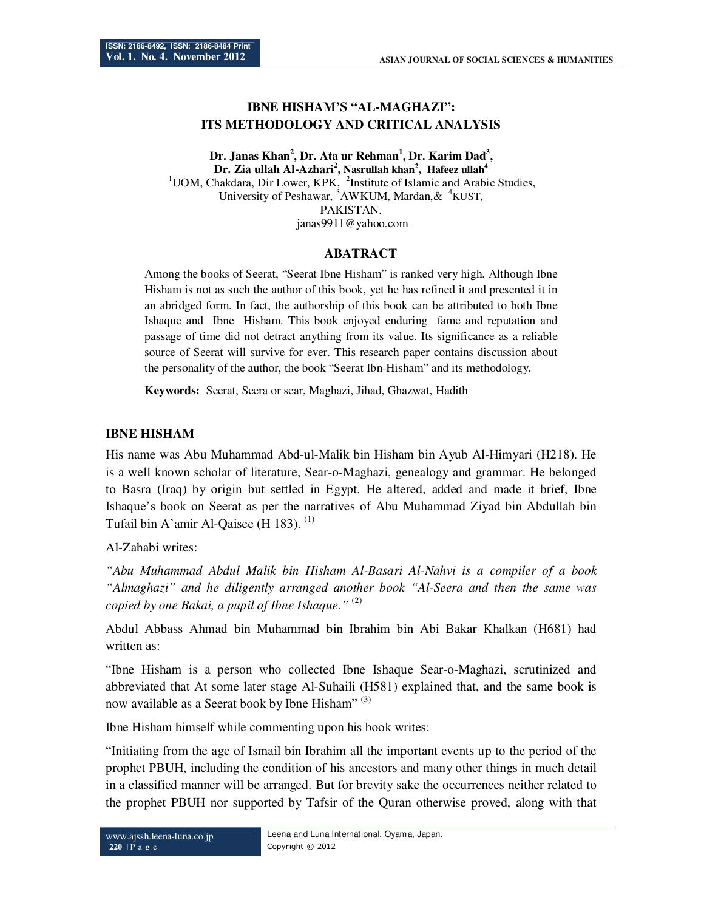# **IBNE HISHAM'S "AL-MAGHAZI": ITS METHODOLOGY AND CRITICAL ANALYSIS**

**Dr. Janas Khan<sup>2</sup> , Dr. Ata ur Rehman<sup>1</sup> , Dr. Karim Dad<sup>3</sup> , Dr. Zia ullah Al-Azhari<sup>2</sup> , Nasrullah khan<sup>2</sup> , Hafeez ullah<sup>4</sup>** <sup>1</sup>UOM, Chakdara, Dir Lower, KPK, <sup>2</sup>Institute of Islamic and Arabic Studies, University of Peshawar,  $3AWKUM$ , Mardan,  $\& 4KUST$ , PAKISTAN. janas9911@yahoo.com

### **ABATRACT**

Among the books of Seerat, "Seerat Ibne Hisham" is ranked very high. Although Ibne Hisham is not as such the author of this book, yet he has refined it and presented it in an abridged form. In fact, the authorship of this book can be attributed to both Ibne Ishaque and Ibne Hisham. This book enjoyed enduring fame and reputation and passage of time did not detract anything from its value. Its significance as a reliable source of Seerat will survive for ever. This research paper contains discussion about the personality of the author, the book "Seerat Ibn-Hisham" and its methodology.

**Keywords:** Seerat, Seera or sear, Maghazi, Jihad, Ghazwat, Hadith

### **IBNE HISHAM**

His name was Abu Muhammad Abd-ul-Malik bin Hisham bin Ayub Al-Himyari (H218). He is a well known scholar of literature, Sear-o-Maghazi, genealogy and grammar. He belonged to Basra (Iraq) by origin but settled in Egypt. He altered, added and made it brief, Ibne Ishaque's book on Seerat as per the narratives of Abu Muhammad Ziyad bin Abdullah bin Tufail bin A'amir Al-Qaisee (H 183).  $(1)$ 

Al-Zahabi writes:

*"Abu Muhammad Abdul Malik bin Hisham Al-Basari Al-Nahvi is a compiler of a book "Almaghazi" and he diligently arranged another book "Al-Seera and then the same was copied by one Bakai, a pupil of Ibne Ishaque."* (2)

Abdul Abbass Ahmad bin Muhammad bin Ibrahim bin Abi Bakar Khalkan (H681) had written as:

"Ibne Hisham is a person who collected Ibne Ishaque Sear-o-Maghazi, scrutinized and abbreviated that At some later stage Al-Suhaili (H581) explained that, and the same book is now available as a Seerat book by Ibne Hisham"<sup>(3)</sup>

Ibne Hisham himself while commenting upon his book writes:

"Initiating from the age of Ismail bin Ibrahim all the important events up to the period of the prophet PBUH, including the condition of his ancestors and many other things in much detail in a classified manner will be arranged. But for brevity sake the occurrences neither related to the prophet PBUH nor supported by Tafsir of the Quran otherwise proved, along with that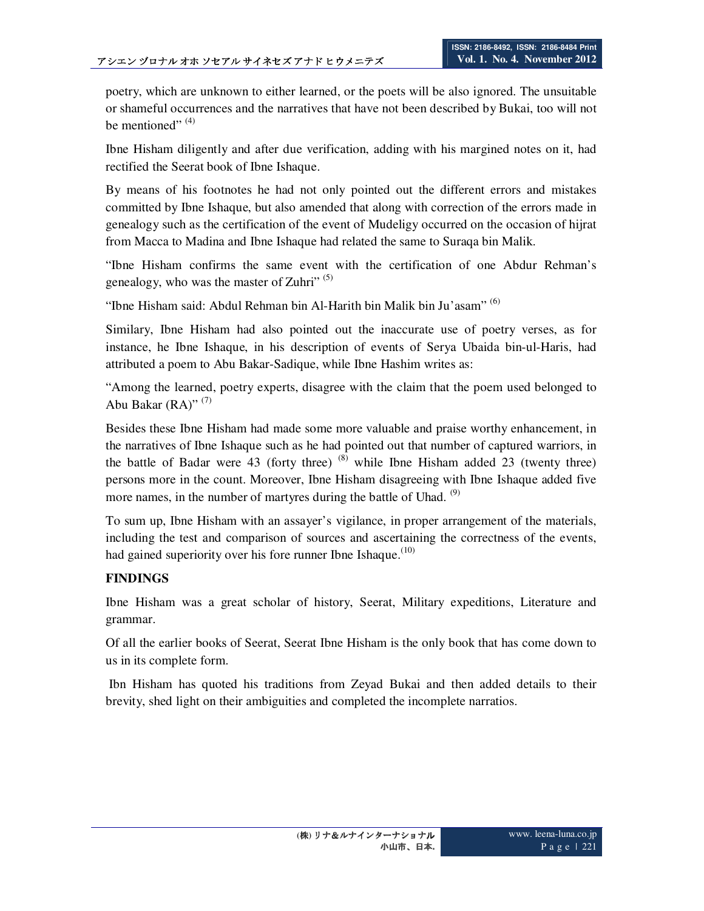poetry, which are unknown to either learned, or the poets will be also ignored. The unsuitable or shameful occurrences and the narratives that have not been described by Bukai, too will not be mentioned"  $(4)$ 

Ibne Hisham diligently and after due verification, adding with his margined notes on it, had rectified the Seerat book of Ibne Ishaque.

By means of his footnotes he had not only pointed out the different errors and mistakes committed by Ibne Ishaque, but also amended that along with correction of the errors made in genealogy such as the certification of the event of Mudeligy occurred on the occasion of hijrat from Macca to Madina and Ibne Ishaque had related the same to Suraqa bin Malik.

"Ibne Hisham confirms the same event with the certification of one Abdur Rehman's genealogy, who was the master of Zuhri"<sup>(5)</sup>

"Ibne Hisham said: Abdul Rehman bin Al-Harith bin Malik bin Ju'asam"<sup>(6)</sup>

Similary, Ibne Hisham had also pointed out the inaccurate use of poetry verses, as for instance, he Ibne Ishaque, in his description of events of Serya Ubaida bin-ul-Haris, had attributed a poem to Abu Bakar-Sadique, while Ibne Hashim writes as:

"Among the learned, poetry experts, disagree with the claim that the poem used belonged to Abu Bakar  $(RA)$ " (7)

Besides these Ibne Hisham had made some more valuable and praise worthy enhancement, in the narratives of Ibne Ishaque such as he had pointed out that number of captured warriors, in the battle of Badar were 43 (forty three)  $(8)$  while Ibne Hisham added 23 (twenty three) persons more in the count. Moreover, Ibne Hisham disagreeing with Ibne Ishaque added five more names, in the number of martyres during the battle of Uhad.  $(9)$ 

To sum up, Ibne Hisham with an assayer's vigilance, in proper arrangement of the materials, including the test and comparison of sources and ascertaining the correctness of the events, had gained superiority over his fore runner Ibne Ishaque.<sup>(10)</sup>

## **FINDINGS**

Ibne Hisham was a great scholar of history, Seerat, Military expeditions, Literature and grammar.

Of all the earlier books of Seerat, Seerat Ibne Hisham is the only book that has come down to us in its complete form.

 Ibn Hisham has quoted his traditions from Zeyad Bukai and then added details to their brevity, shed light on their ambiguities and completed the incomplete narratios.